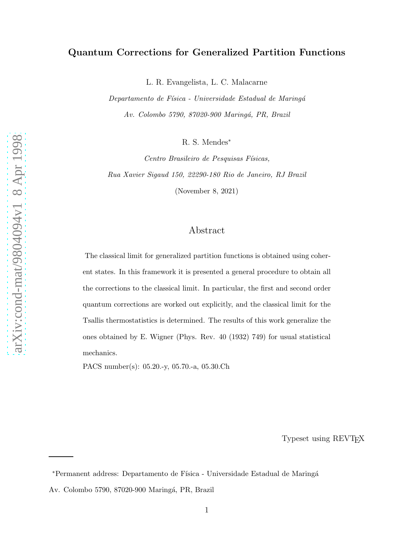# Quantum Corrections for Generalized Partition Functions

L. R. Evangelista, L. C. Malacarne

Departamento de Física - Universidade Estadual de Maringá Av. Colombo 5790, 87020-900 Maringá, PR, Brazil

R. S. Mendes<sup>\*</sup>

Centro Brasileiro de Pesquisas Físicas, Rua Xavier Sigaud 150, 22290-180 Rio de Janeiro, RJ Brazil

(November 8, 2021)

# Abstract

The classical limit for generalized partition functions is obtained using coherent states. In this framework it is presented a general procedure to obtain all the corrections to the classical limit. In particular, the first and second order quantum corrections are worked out explicitly, and the classical limit for the Tsallis thermostatistics is determined. The results of this work generalize the ones obtained by E. Wigner (Phys. Rev. 40 (1932) 749) for usual statistical mechanics.

PACS number(s): 05.20.-y, 05.70.-a, 05.30.Ch

Typeset using REVTEX

<sup>\*</sup>Permanent address: Departamento de Física - Universidade Estadual de Maringá

Av. Colombo 5790, 87020-900 Maringá, PR, Brazil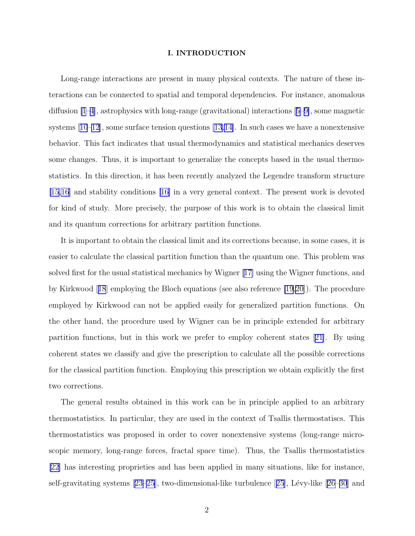### I. INTRODUCTION

Long-range interactions are present in many physical contexts. The nature of these interactions can be connected to spatial and temporal dependencies. For instance, anomalous diffusion [\[1–4\]](#page-11-0), astrophysics with long-range (gravitational) interactions[[5–9\]](#page-11-0), some magnetic systems $[10-12]$ , some surface tension questions  $[13,14]$ . In such cases we have a nonextensive behavior. This fact indicates that usual thermodynamics and statistical mechanics deserves some changes. Thus, it is important to generalize the concepts based in the usual thermostatistics. In this direction, it has been recently analyzed the Legendre transform structure [\[15,16\]](#page-11-0) and stability conditions [\[16\]](#page-11-0) in a very general context. The present work is devoted for kind of study. More precisely, the purpose of this work is to obtain the classical limit and its quantum corrections for arbitrary partition functions.

It is important to obtain the classical limit and its corrections because, in some cases, it is easier to calculate the classical partition function than the quantum one. This problem was solved first for the usual statistical mechanics by Wigner[[17\]](#page-11-0) using the Wigner functions, and by Kirkwood[[18](#page-12-0)] employing the Bloch equations (see also reference [\[19,20](#page-12-0)]). The procedure employed by Kirkwood can not be applied easily for generalized partition functions. On the other hand, the procedure used by Wigner can be in principle extended for arbitrary partition functions, but in this work we prefer to employ coherent states[[21\]](#page-12-0). By using coherent states we classify and give the prescription to calculate all the possible corrections for the classical partition function. Employing this prescription we obtain explicitly the first two corrections.

The general results obtained in this work can be in principle applied to an arbitrary thermostatistics. In particular, they are used in the context of Tsallis thermostatiscs. This thermostatistics was proposed in order to cover nonextensive systems (long-range microscopic memory, long-range forces, fractal space time). Thus, the Tsallis thermostatistics [\[22\]](#page-12-0) has interesting proprieties and has been applied in many situations, like for instance, self-gravitatingsystems  $[23–25]$  $[23–25]$  $[23–25]$ , two-dimensional-like turbulence  $[25]$  $[25]$  $[25]$ , Lévy-like  $[26–30]$  $[26–30]$  $[26–30]$  and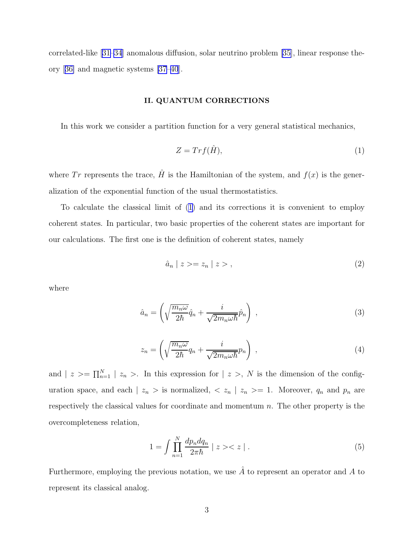<span id="page-2-0"></span>correlated-like[[31](#page-12-0)[–34](#page-13-0)] anomalous diffusion, solar neutrino problem [\[35\]](#page-13-0), linear response theory[[36\]](#page-13-0) and magnetic systems [\[37–40](#page-13-0)].

## II. QUANTUM CORRECTIONS

In this work we consider a partition function for a very general statistical mechanics,

$$
Z = Trf(\hat{H}),\tag{1}
$$

where Tr represents the trace,  $\hat{H}$  is the Hamiltonian of the system, and  $f(x)$  is the generalization of the exponential function of the usual thermostatistics.

To calculate the classical limit of (1) and its corrections it is convenient to employ coherent states. In particular, two basic properties of the coherent states are important for our calculations. The first one is the definition of coherent states, namely

$$
\hat{a}_n \mid z \rangle = z_n \mid z \rangle \,, \tag{2}
$$

where

$$
\hat{a}_n = \left(\sqrt{\frac{m_n \omega}{2\hbar}} \hat{q}_n + \frac{i}{\sqrt{2m_n \omega \hbar}} \hat{p}_n\right) ,\qquad (3)
$$

$$
z_n = \left(\sqrt{\frac{m_n \omega}{2\hbar}} q_n + \frac{i}{\sqrt{2m_n \omega \hbar}} p_n\right) , \qquad (4)
$$

and  $| z \rangle = \prod_{n=1}^{N} | z_n \rangle$ . In this expression for  $| z \rangle$ , N is the dimension of the configuration space, and each  $| z_n >$  is normalized,  $\langle z_n | z_n \rangle = 1$ . Moreover,  $q_n$  and  $p_n$  are respectively the classical values for coordinate and momentum  $n$ . The other property is the overcompleteness relation,

$$
1 = \int \prod_{n=1}^{N} \frac{dp_n dq_n}{2\pi \hbar} \mid z >< z \mid . \tag{5}
$$

Furthermore, employing the previous notation, we use  $\hat{A}$  to represent an operator and A to represent its classical analog.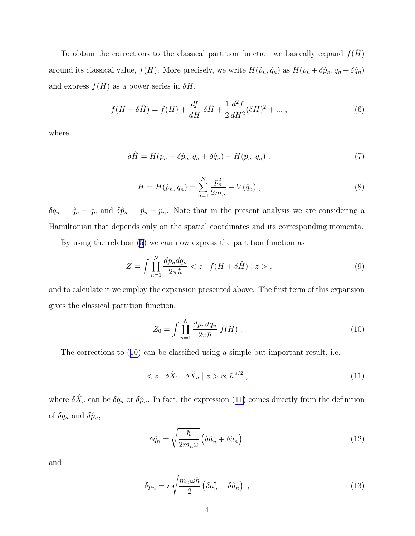<span id="page-3-0"></span>To obtain the corrections to the classical partition function we basically expand  $f(H)$ around its classical value,  $f(H)$ . More precisely, we write  $\hat{H}(\hat{p}_n, \hat{q}_n)$  as  $\hat{H}(p_n + \delta \hat{p}_n, q_n + \delta \hat{q}_n)$ and express  $f(\hat{H})$  as a power series in  $\delta\hat{H},$ 

$$
f(H + \delta \hat{H}) = f(H) + \frac{df}{dH} \delta \hat{H} + \frac{1}{2} \frac{d^2 f}{dH^2} (\delta \hat{H})^2 + \dots,
$$
\n(6)

where

$$
\delta \hat{H} = H(p_n + \delta \hat{p}_n, q_n + \delta \hat{q}_n) - H(p_n, q_n) , \qquad (7)
$$

$$
\hat{H} = H(\hat{p}_n, \hat{q}_n) = \sum_{n=1}^{N} \frac{\hat{p}_n^2}{2m_n} + V(\hat{q}_n) ,
$$
\n(8)

 $\delta \hat{q}_n = \hat{q}_n - q_n$  and  $\delta \hat{p}_n = \hat{p}_n - p_n$ . Note that in the present analysis we are considering a Hamiltonian that depends only on the spatial coordinates and its corresponding momenta.

By using the relation [\(5](#page-2-0)) we can now express the partition function as

$$
Z = \int \prod_{n=1}^{N} \frac{dp_n dq_n}{2\pi\hbar} < z \mid f(H + \delta\hat{H}) \mid z > , \tag{9}
$$

and to calculate it we employ the expansion presented above. The first term of this expansion gives the classical partition function,

$$
Z_0 = \int \prod_{n=1}^{N} \frac{dp_n dq_n}{2\pi \hbar} f(H) \,. \tag{10}
$$

The corrections to (10) can be classified using a simple but important result, i.e.

$$
\langle z \mid \delta \hat{X}_1 ... \delta \hat{X}_u \mid z \rangle \propto \hbar^{u/2} \,, \tag{11}
$$

where  $\delta \hat{X}_n$  can be  $\delta \hat{q}_n$  or  $\delta \hat{p}_n$ . In fact, the expression (11) comes directly from the definition of  $\delta \hat{q}_n$  and  $\delta \hat{p}_n$ ,

$$
\delta\hat{q}_n = \sqrt{\frac{\hbar}{2m_n\omega}} \left( \delta \hat{a}_n^\dagger + \delta \hat{a}_n \right) \tag{12}
$$

and

$$
\delta\hat{p}_n = i \sqrt{\frac{m_n \omega \hbar}{2}} \left( \delta \hat{a}_n^\dagger - \delta \hat{a}_n \right) , \qquad (13)
$$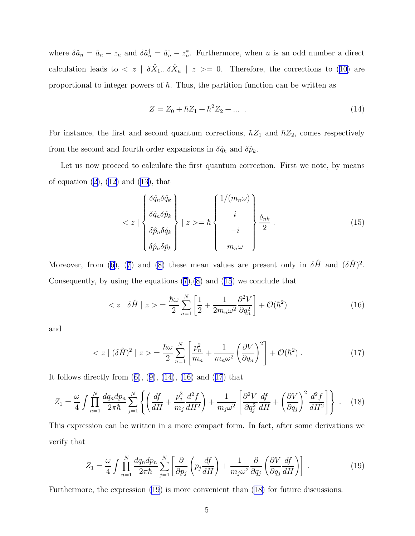<span id="page-4-0"></span>where  $\delta \hat{a}_n = \hat{a}_n - z_n$  and  $\delta \hat{a}_n^{\dagger} = \hat{a}_n^{\dagger} - z_n^*$ . Furthermore, when u is an odd number a direct calculationleads to  $\langle z | \delta \hat{X}_1...\delta \hat{X}_u | z \rangle = 0$ . Therefore, the corrections to ([10\)](#page-3-0) are proportional to integer powers of  $\hbar$ . Thus, the partition function can be written as

$$
Z = Z_0 + \hbar Z_1 + \hbar^2 Z_2 + \dots \tag{14}
$$

For instance, the first and second quantum corrections,  $\hbar Z_1$  and  $\hbar Z_2$ , comes respectively from the second and fourth order expansions in  $\delta \hat{q}_k$  and  $\delta \hat{p}_k$ .

Let us now proceed to calculate the first quantum correction. First we note, by means ofequation  $(2)$  $(2)$ ,  $(12)$  $(12)$  and  $(13)$ , that

$$
\langle z \mid \begin{cases} \delta \hat{q}_n \delta \hat{q}_k \\ \delta \hat{q}_n \delta \hat{p}_k \\ \delta \hat{p}_n \delta \hat{q}_k \\ \delta \hat{p}_n \delta \hat{p}_k \end{cases} \mid z \rangle = \hbar \begin{cases} 1/(m_n \omega) \\ i \\ \frac{\delta_{nk}}{2} \\ -i \\ m_n \omega \end{cases} (15)
$$

Moreover, from [\(6\)](#page-3-0),([7](#page-3-0)) and [\(8\)](#page-3-0) these mean values are present only in  $\delta \hat{H}$  and  $(\delta \hat{H})^2$ . Consequently,by using the equations  $(7),(8)$  $(7),(8)$  $(7),(8)$  $(7),(8)$  and  $(15)$  we conclude that

$$
\langle z | \delta \hat{H} | z \rangle = \frac{\hbar \omega}{2} \sum_{n=1}^{N} \left[ \frac{1}{2} + \frac{1}{2m_n \omega^2} \frac{\partial^2 V}{\partial q_n^2} \right] + \mathcal{O}(\hbar^2)
$$
(16)

and

$$
\langle z \mid (\delta \hat{H})^2 \mid z \rangle = \frac{\hbar \omega}{2} \sum_{n=1}^N \left[ \frac{p_n^2}{m_n} + \frac{1}{m_n \omega^2} \left( \frac{\partial V}{\partial q_n} \right)^2 \right] + \mathcal{O}(\hbar^2) \,. \tag{17}
$$

Itfollows directly from  $(6)$  $(6)$ ,  $(9)$  $(9)$ ,  $(14)$ ,  $(16)$  and  $(17)$  that

$$
Z_1 = \frac{\omega}{4} \int \prod_{n=1}^N \frac{dq_n dp_n}{2\pi\hbar} \sum_{j=1}^N \left\{ \left( \frac{df}{dH} + \frac{p_j^2}{m_j} \frac{d^2 f}{dH^2} \right) + \frac{1}{m_j \omega^2} \left[ \frac{\partial^2 V}{\partial q_j^2} \frac{df}{dH} + \left( \frac{\partial V}{\partial q_j} \right)^2 \frac{d^2 f}{dH^2} \right] \right\} \ . \tag{18}
$$

This expression can be written in a more compact form. In fact, after some derivations we verify that

$$
Z_1 = \frac{\omega}{4} \int \prod_{n=1}^N \frac{dq_n dp_n}{2\pi\hbar} \sum_{j=1}^N \left[ \frac{\partial}{\partial p_j} \left( p_j \frac{df}{dH} \right) + \frac{1}{m_j \omega^2} \frac{\partial}{\partial q_j} \left( \frac{\partial V}{\partial q_j} \frac{df}{dH} \right) \right] \,. \tag{19}
$$

Furthermore, the expression (19) is more convenient than (18) for future discussions.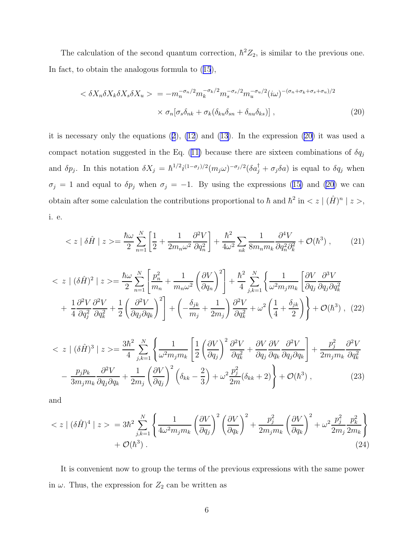The calculation of the second quantum correction,  $\hbar^2 Z_2$ , is similar to the previous one. In fact, to obtain the analogous formula to([15](#page-4-0)),

$$
\langle \delta X_n \delta X_k \delta X_s \delta X_u \rangle = -m_n^{-\sigma_n/2} m_k^{-\sigma_k/2} m_s^{-\sigma_s/2} m_u^{-\sigma_u/2} (i\omega)^{-(\sigma_n + \sigma_k + \sigma_s + \sigma_u)/2} \times \sigma_n [\sigma_s \delta_{nk} + \sigma_k (\delta_{ku} \delta_{sn} + \delta_{nu} \delta_{ks})], \tag{20}
$$

it is necessary only the equations([2](#page-2-0)), [\(12](#page-3-0)) and [\(13\)](#page-3-0). In the expression (20) it was used a compactnotation suggested in the Eq. ([11\)](#page-3-0) because there are sixteen combinations of  $\delta q_j$ and  $\delta p_j$ . In this notation  $\delta X_j = \hbar^{1/2} i^{(1-\sigma_j)/2} (m_j \omega)^{-\sigma_j/2} (\delta a_j^{\dagger} + \sigma_j \delta a)$  is equal to  $\delta q_j$  when  $\sigma_j = 1$  $\sigma_j = 1$  $\sigma_j = 1$  and equal to  $\delta p_j$  when  $\sigma_j = -1$ . By using the expressions ([15\)](#page-4-0) and (20) we can obtain after some calculation the contributions proportional to  $\hbar$  and  $\hbar^2$  in  $\lt z \mid (\hat{H})^n \mid z >$ , i. e.

$$
\langle z | \delta \hat{H} | z \rangle = \frac{\hbar \omega}{2} \sum_{n=1}^{N} \left[ \frac{1}{2} + \frac{1}{2m_n \omega^2} \frac{\partial^2 V}{\partial q_n^2} \right] + \frac{\hbar^2}{4\omega^2} \sum_{nk} \frac{1}{8m_n m_k} \frac{\partial^4 V}{\partial q_n^2 \partial_k^2} + \mathcal{O}(\hbar^3) , \tag{21}
$$

$$
\langle z \mid (\delta \hat{H})^2 \mid z \rangle = \frac{\hbar \omega}{2} \sum_{n=1}^N \left[ \frac{p_n^2}{m_n} + \frac{1}{m_n \omega^2} \left( \frac{\partial V}{\partial q_n} \right)^2 \right] + \frac{\hbar^2}{4} \sum_{j,k=1}^N \left\{ \frac{1}{\omega^2 m_j m_k} \left[ \frac{\partial V}{\partial q_j} \frac{\partial^3 V}{\partial q_j \partial q_k^2} \right] + \frac{1}{4} \frac{\partial^2 V}{\partial q_j^2} \frac{\partial^2 V}{\partial q_k^2} + \frac{1}{2} \left( \frac{\partial^2 V}{\partial q_j \partial q_k} \right)^2 \right\} + \left( -\frac{\delta_{jk}}{m_j} + \frac{1}{2m_j} \right) \frac{\partial^2 V}{\partial q_k^2} + \omega^2 \left( \frac{1}{4} + \frac{\delta_{jk}}{2} \right) \right\} + \mathcal{O}(\hbar^3) , \tag{22}
$$

$$
\langle z \mid (\delta \hat{H})^3 \mid z \rangle = \frac{3\hbar^2}{4} \sum_{j,k=1}^N \left\{ \frac{1}{\omega^2 m_j m_k} \left[ \frac{1}{2} \left( \frac{\partial V}{\partial q_j} \right)^2 \frac{\partial^2 V}{\partial q_k^2} + \frac{\partial V}{\partial q_j} \frac{\partial V}{\partial q_k} \frac{\partial^2 V}{\partial q_j \partial q_k} \right] + \frac{p_j^2}{2m_j m_k} \frac{\partial^2 V}{\partial q_k^2} - \frac{p_j p_k}{3m_j m_k} \frac{\partial^2 V}{\partial q_j \partial q_k} + \frac{1}{2m_j} \left( \frac{\partial V}{\partial q_j} \right)^2 \left( \delta_{kk} - \frac{2}{3} \right) + \omega^2 \frac{p_j^2}{2m} (\delta_{kk} + 2) \right\} + \mathcal{O}(\hbar^3) , \tag{23}
$$

and

$$
\langle z \mid (\delta \hat{H})^4 \mid z \rangle = 3\hbar^2 \sum_{j,k=1}^N \left\{ \frac{1}{4\omega^2 m_j m_k} \left( \frac{\partial V}{\partial q_j} \right)^2 \left( \frac{\partial V}{\partial q_k} \right)^2 + \frac{p_j^2}{2m_j m_k} \left( \frac{\partial V}{\partial q_k} \right)^2 + \omega^2 \frac{p_j^2}{2m_j} \frac{p_k^2}{2m_k} \right\} + \mathcal{O}(\hbar^3) \tag{24}
$$

It is convenient now to group the terms of the previous expressions with the same power in  $\omega$ . Thus, the expression for  $Z_2$  can be written as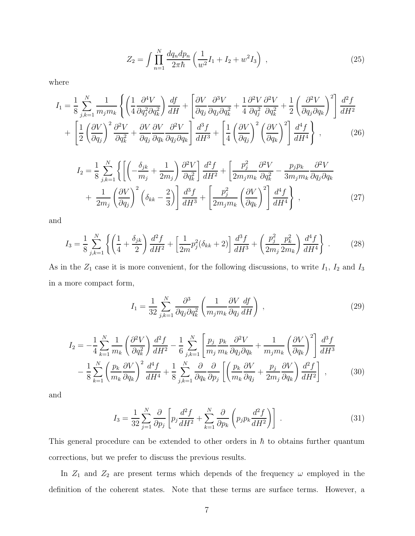$$
Z_2 = \int \prod_{n=1}^{N} \frac{dq_n dp_n}{2\pi\hbar} \left(\frac{1}{w^2} I_1 + I_2 + w^2 I_3\right) , \qquad (25)
$$

where

$$
I_{1} = \frac{1}{8} \sum_{j,k=1}^{N} \frac{1}{m_{j} m_{k}} \left\{ \left( \frac{1}{4} \frac{\partial^{4} V}{\partial q_{j}^{2} \partial q_{k}^{2}} \right) \frac{df}{dH} + \left[ \frac{\partial V}{\partial q_{j}} \frac{\partial^{3} V}{\partial q_{j} \partial q_{k}^{2}} + \frac{1}{4} \frac{\partial^{2} V}{\partial q_{j}^{2}} \frac{\partial^{2} V}{\partial q_{k}^{2}} + \frac{1}{2} \left( \frac{\partial^{2} V}{\partial q_{j} \partial q_{k}} \right)^{2} \right] \frac{d^{2} f}{dH^{2}} + \left[ \frac{1}{2} \left( \frac{\partial V}{\partial q_{j}} \right)^{2} \frac{\partial^{2} V}{\partial q_{k}^{2}} + \frac{\partial V}{\partial q_{j}} \frac{\partial V}{\partial q_{k}} \frac{\partial^{2} V}{\partial q_{j} \partial q_{k}} \right] \frac{d^{3} f}{dH^{3}} + \left[ \frac{1}{4} \left( \frac{\partial V}{\partial q_{j}} \right)^{2} \left( \frac{\partial V}{\partial q_{k}} \right)^{2} \right] \frac{d^{4} f}{dH^{4}} \right\} , \qquad (26)
$$

$$
I_2 = \frac{1}{8} \sum_{j,k=1}^N \left\{ \left[ \left( -\frac{\delta_{jk}}{m_j} + \frac{1}{2m_j} \right) \frac{\partial^2 V}{\partial q_k^2} \right] \frac{d^2 f}{dH^2} + \left[ \frac{p_j^2}{2m_j m_k} \frac{\partial^2 V}{\partial q_k^2} - \frac{p_j p_k}{3m_j m_k} \frac{\partial^2 V}{\partial q_j \partial q_k} \right] + \frac{1}{2m_j} \left( \frac{\partial V}{\partial q_j} \right)^2 \left( \delta_{kk} - \frac{2}{3} \right) \right\} \frac{d^3 f}{dH^3} + \left[ \frac{p_j^2}{2m_j m_k} \left( \frac{\partial V}{\partial q_k} \right)^2 \right] \frac{d^4 f}{dH^4} \right\} ,
$$
 (27)

and

$$
I_3 = \frac{1}{8} \sum_{j,k=1}^{N} \left\{ \left( \frac{1}{4} + \frac{\delta_{jk}}{2} \right) \frac{d^2 f}{dH^2} + \left[ \frac{1}{2m} p_j^2 (\delta_{kk} + 2) \right] \frac{d^3 f}{dH^3} + \left( \frac{p_j^2}{2m_j} \frac{p_k^2}{2m_k} \right) \frac{d^4 f}{dH^4} \right\} \,. \tag{28}
$$

As in the  $Z_1$  case it is more convenient, for the following discussions, to write  $I_1$ ,  $I_2$  and  $I_3$ in a more compact form,

$$
I_1 = \frac{1}{32} \sum_{j,k=1}^{N} \frac{\partial^3}{\partial q_j \partial q_k^2} \left( \frac{1}{m_j m_k} \frac{\partial V}{\partial q_j} \frac{df}{dH} \right) ,
$$
 (29)

$$
I_2 = -\frac{1}{4} \sum_{k=1}^{N} \frac{1}{m_k} \left(\frac{\partial^2 V}{\partial q_k^2}\right) \frac{d^2 f}{dH^2} - \frac{1}{6} \sum_{j,k=1}^{N} \left[ \frac{p_j}{m_j} \frac{p_k}{m_k} \frac{\partial^2 V}{\partial q_j \partial q_k} + \frac{1}{m_j m_k} \left(\frac{\partial V}{\partial q_k}\right)^2 \right] \frac{d^3 f}{dH^3}
$$

$$
- \frac{1}{8} \sum_{k=1}^{N} \left( \frac{p_k}{m_k} \frac{\partial V}{\partial q_k} \right)^2 \frac{d^4 f}{dH^4} + \frac{1}{8} \sum_{j,k=1}^{N} \frac{\partial}{\partial q_k} \frac{\partial}{\partial p_j} \left[ \left( \frac{p_k}{m_k} \frac{\partial V}{\partial q_j} + \frac{p_j}{2m_j} \frac{\partial V}{\partial q_k} \right) \frac{d^2 f}{dH^2} \right],
$$
(30)

and

$$
I_3 = \frac{1}{32} \sum_{j=1}^{N} \frac{\partial}{\partial p_j} \left[ p_j \frac{d^2 f}{dH^2} + \sum_{k=1}^{N} \frac{\partial}{\partial p_k} \left( p_j p_k \frac{d^2 f}{dH^2} \right) \right] \tag{31}
$$

This general procedure can be extended to other orders in  $\hbar$  to obtains further quantum corrections, but we prefer to discuss the previous results.

In  $Z_1$  and  $Z_2$  are present terms which depends of the frequency  $\omega$  employed in the definition of the coherent states. Note that these terms are surface terms. However, a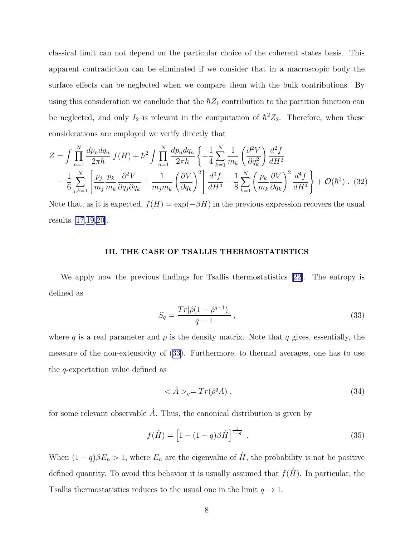<span id="page-7-0"></span>classical limit can not depend on the particular choice of the coherent states basis. This apparent contradiction can be eliminated if we consider that in a macroscopic body the surface effects can be neglected when we compare them with the bulk contributions. By using this consideration we conclude that the  $\hbar Z_1$  contribution to the partition function can be neglected, and only  $I_2$  is relevant in the computation of  $\hbar^2 Z_2$ . Therefore, when these considerations are employed we verify directly that

$$
Z = \int \prod_{n=1}^{N} \frac{dp_n dq_n}{2\pi \hbar} f(H) + \hbar^2 \int \prod_{n=1}^{N} \frac{dp_n dq_n}{2\pi \hbar} \left\{ -\frac{1}{4} \sum_{k=1}^{N} \frac{1}{m_k} \left( \frac{\partial^2 V}{\partial q_k^2} \right) \frac{d^2 f}{dH^2} - \frac{1}{6} \sum_{j,k=1}^{N} \left[ \frac{p_j}{m_j} \frac{p_k}{m_k} \frac{\partial^2 V}{\partial q_j \partial q_k} + \frac{1}{m_j m_k} \left( \frac{\partial V}{\partial q_k} \right)^2 \right] \frac{d^3 f}{dH^3} - \frac{1}{8} \sum_{k=1}^{N} \left( \frac{p_k}{m_k} \frac{\partial V}{\partial q_k} \right)^2 \frac{d^4 f}{dH^4} + \mathcal{O}(\hbar^2) \tag{32}
$$

Note that, as it is expected,  $f(H) = \exp(-\beta H)$  in the previous expression recovers the usual results [\[17](#page-11-0)[,19,20](#page-12-0)].

## III. THE CASE OF TSALLIS THERMOSTATISTICS

We apply now the previous findings for Tsallis thermostatistics [\[22\]](#page-12-0). The entropy is defined as

$$
S_q = \frac{Tr[\hat{\rho}(1 - \hat{\rho}^{q-1})]}{q-1} \,, \tag{33}
$$

where q is a real parameter and  $\rho$  is the density matrix. Note that q gives, essentially, the measure of the non-extensivity of (33). Furthermore, to thermal averages, one has to use the q-expectation value defined as

$$
\langle \hat{A} \rangle_q = Tr(\hat{\rho}^q A) \tag{34}
$$

for some relevant observable  $\hat{A}$ . Thus, the canonical distribution is given by

$$
f(\hat{H}) = \left[1 - (1 - q)\beta \hat{H}\right]^{\frac{1}{1 - q}}.
$$
\n(35)

When  $(1 - q)\beta E_n > 1$ , where  $E_n$  are the eigenvalue of  $\hat{H}$ , the probability is not be positive defined quantity. To avoid this behavior it is usually assumed that  $f(\hat{H})$ . In particular, the Tsallis thermostatistics reduces to the usual one in the limit  $q \to 1$ .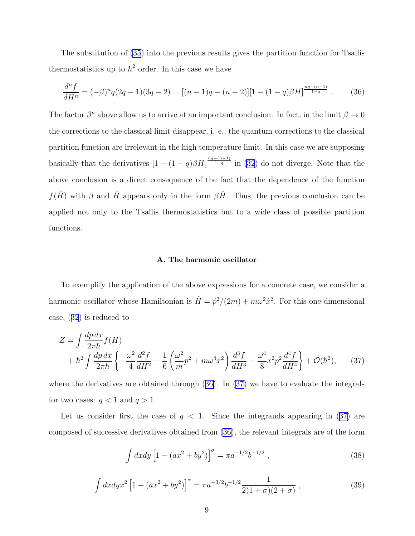<span id="page-8-0"></span>The substitution of [\(35](#page-7-0)) into the previous results gives the partition function for Tsallis thermostatistics up to  $\hbar^2$  order. In this case we have

$$
\frac{d^n f}{dH^n} = (-\beta)^n q(2q-1)(3q-2)\dots[(n-1)q-(n-2)][1-(1-q)\beta H]^{\frac{nq-(n-1)}{1-q}}.\tag{36}
$$

The factor  $\beta^n$  above allow us to arrive at an important conclusion. In fact, in the limit  $\beta \to 0$ the corrections to the classical limit disappear, i. e., the quantum corrections to the classical partition function are irrelevant in the high temperature limit. In this case we are supposing basically that the derivatives  $\left[1 - (1 - q)\beta H\right]^{\frac{nq - (n-1)}{1-q}}$  in [\(32](#page-7-0)) do not diverge. Note that the above conclusion is a direct consequence of the fact that the dependence of the function  $f(\hat{H})$  with  $\beta$  and  $\hat{H}$  appears only in the form  $\beta\hat{H}$ . Thus, the previous conclusion can be applied not only to the Tsallis thermostatistics but to a wide class of possible partition functions.

#### A. The harmonic oscillator

To exemplify the application of the above expressions for a concrete case, we consider a harmonic oscillator whose Hamiltonian is  $\hat{H} = \hat{p}^2/(2m) + m\omega^2 \hat{x}^2$ . For this one-dimensional case,([32](#page-7-0)) is reduced to

$$
Z = \int \frac{dp \, dx}{2\pi \hbar} f(H) + \hbar^2 \int \frac{dp \, dx}{2\pi \hbar} \left\{ -\frac{\omega^2}{4} \frac{d^2 f}{dH^2} - \frac{1}{6} \left( \frac{\omega^2}{m} p^2 + m\omega^4 x^2 \right) \frac{d^3 f}{dH^3} - \frac{\omega^4}{8} x^2 p^2 \frac{d^4 f}{dH^4} \right\} + \mathcal{O}(\hbar^2), \tag{37}
$$

where the derivatives are obtained through (36). In (37) we have to evaluate the integrals for two cases:  $q < 1$  and  $q > 1$ .

Let us consider first the case of  $q < 1$ . Since the integrands appearing in (37) are composed of successive derivatives obtained from (36), the relevant integrals are of the form

$$
\int dx dy \left[1 - (ax^2 + by^2)\right]^\sigma = \pi a^{-1/2} b^{-1/2} ,\qquad (38)
$$

$$
\int dx dy x^{2} \left[1 - (ax^{2} + by^{2})\right]^{\sigma} = \pi a^{-3/2} b^{-1/2} \frac{1}{2(1+\sigma)(2+\sigma)},
$$
\n(39)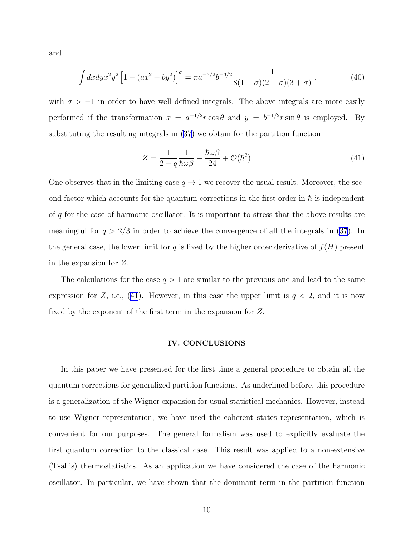and

$$
\int dx dy x^2 y^2 \left[ 1 - (ax^2 + by^2) \right]^\sigma = \pi a^{-3/2} b^{-3/2} \frac{1}{8(1+\sigma)(2+\sigma)(3+\sigma)} ,\tag{40}
$$

with  $\sigma > -1$  in order to have well defined integrals. The above integrals are more easily performed if the transformation  $x = a^{-1/2}r\cos\theta$  and  $y = b^{-1/2}r\sin\theta$  is employed. By substituting the resulting integrals in([37\)](#page-8-0) we obtain for the partition function

$$
Z = \frac{1}{2 - q} \frac{1}{\hbar \omega \beta} - \frac{\hbar \omega \beta}{24} + \mathcal{O}(\hbar^2). \tag{41}
$$

One observes that in the limiting case  $q \to 1$  we recover the usual result. Moreover, the second factor which accounts for the quantum corrections in the first order in  $\hbar$  is independent of  $q$  for the case of harmonic oscillator. It is important to stress that the above results are meaningful for  $q > 2/3$  in order to achieve the convergence of all the integrals in [\(37](#page-8-0)). In the general case, the lower limit for q is fixed by the higher order derivative of  $f(H)$  present in the expansion for Z.

The calculations for the case  $q > 1$  are similar to the previous one and lead to the same expression for Z, i.e., (41). However, in this case the upper limit is  $q < 2$ , and it is now fixed by the exponent of the first term in the expansion for Z.

### IV. CONCLUSIONS

In this paper we have presented for the first time a general procedure to obtain all the quantum corrections for generalized partition functions. As underlined before, this procedure is a generalization of the Wigner expansion for usual statistical mechanics. However, instead to use Wigner representation, we have used the coherent states representation, which is convenient for our purposes. The general formalism was used to explicitly evaluate the first quantum correction to the classical case. This result was applied to a non-extensive (Tsallis) thermostatistics. As an application we have considered the case of the harmonic oscillator. In particular, we have shown that the dominant term in the partition function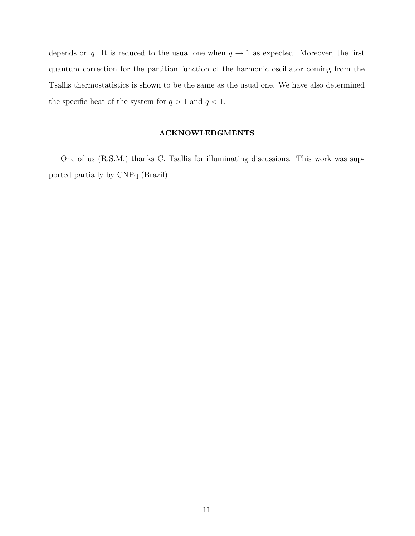depends on q. It is reduced to the usual one when  $q \to 1$  as expected. Moreover, the first quantum correction for the partition function of the harmonic oscillator coming from the Tsallis thermostatistics is shown to be the same as the usual one. We have also determined the specific heat of the system for  $q > 1$  and  $q < 1$ .

## ACKNOWLEDGMENTS

One of us (R.S.M.) thanks C. Tsallis for illuminating discussions. This work was supported partially by CNPq (Brazil).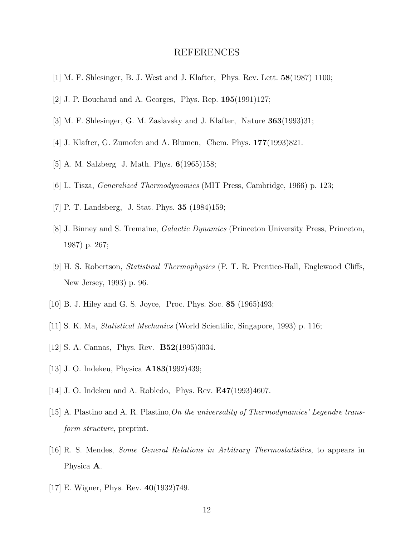# REFERENCES

- <span id="page-11-0"></span>[1] M. F. Shlesinger, B. J. West and J. Klafter, Phys. Rev. Lett. 58(1987) 1100;
- [2] J. P. Bouchaud and A. Georges, Phys. Rep. 195(1991)127;
- [3] M. F. Shlesinger, G. M. Zaslavsky and J. Klafter, Nature 363(1993)31;
- [4] J. Klafter, G. Zumofen and A. Blumen, Chem. Phys. 177(1993)821.
- [5] A. M. Salzberg J. Math. Phys. **6**(1965)158;
- [6] L. Tisza, Generalized Thermodynamics (MIT Press, Cambridge, 1966) p. 123;
- [7] P. T. Landsberg, J. Stat. Phys. 35 (1984)159;
- [8] J. Binney and S. Tremaine, *Galactic Dynamics* (Princeton University Press, Princeton, 1987) p. 267;
- [9] H. S. Robertson, Statistical Thermophysics (P. T. R. Prentice-Hall, Englewood Cliffs, New Jersey, 1993) p. 96.
- [10] B. J. Hiley and G. S. Joyce, Proc. Phys. Soc. 85 (1965)493;
- [11] S. K. Ma, Statistical Mechanics (World Scientific, Singapore, 1993) p. 116;
- [12] S. A. Cannas, Phys. Rev. B52(1995)3034.
- [13] J. O. Indekeu, Physica A183(1992)439;
- [14] J. O. Indekeu and A. Robledo, Phys. Rev. E47(1993)4607.
- [15] A. Plastino and A. R. Plastino,On the universality of Thermodynamics' Legendre transform structure, preprint.
- [16] R. S. Mendes, Some General Relations in Arbitrary Thermostatistics, to appears in Physica A.
- [17] E. Wigner, Phys. Rev. 40(1932)749.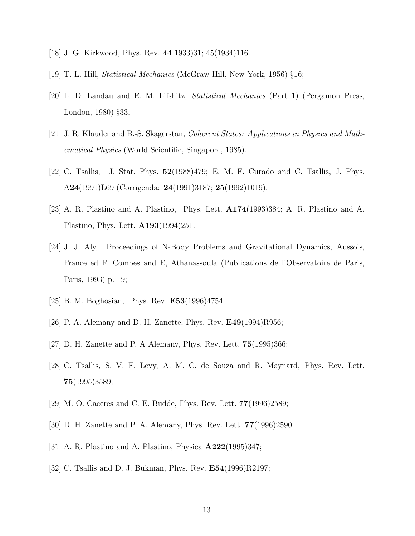- <span id="page-12-0"></span>[18] J. G. Kirkwood, Phys. Rev. 44 1933)31; 45(1934)116.
- [19] T. L. Hill, Statistical Mechanics (McGraw-Hill, New York, 1956) §16;
- [20] L. D. Landau and E. M. Lifshitz, Statistical Mechanics (Part 1) (Pergamon Press, London, 1980) §33.
- [21] J. R. Klauder and B.-S. Skagerstan, Coherent States: Applications in Physics and Mathematical Physics (World Scientific, Singapore, 1985).
- [22] C. Tsallis, J. Stat. Phys. 52(1988)479; E. M. F. Curado and C. Tsallis, J. Phys. A24(1991)L69 (Corrigenda: 24(1991)3187; 25(1992)1019).
- [23] A. R. Plastino and A. Plastino, Phys. Lett. A174(1993)384; A. R. Plastino and A. Plastino, Phys. Lett. A193(1994)251.
- [24] J. J. Aly, Proceedings of N-Body Problems and Gravitational Dynamics, Aussois, France ed F. Combes and E, Athanassoula (Publications de l'Observatoire de Paris, Paris, 1993) p. 19;
- [25] B. M. Boghosian, Phys. Rev. **E53**(1996)4754.
- [26] P. A. Alemany and D. H. Zanette, Phys. Rev.  $E49(1994)R956$ ;
- [27] D. H. Zanette and P. A Alemany, Phys. Rev. Lett. 75(1995)366;
- [28] C. Tsallis, S. V. F. Levy, A. M. C. de Souza and R. Maynard, Phys. Rev. Lett. 75(1995)3589;
- [29] M. O. Caceres and C. E. Budde, Phys. Rev. Lett. 77(1996)2589;
- [30] D. H. Zanette and P. A. Alemany, Phys. Rev. Lett. 77(1996)2590.
- [31] A. R. Plastino and A. Plastino, Physica A222(1995)347;
- [32] C. Tsallis and D. J. Bukman, Phys. Rev. E54(1996)R2197;